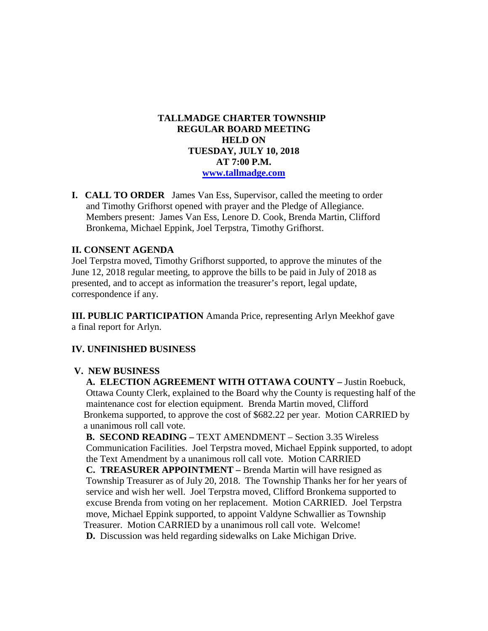# **TALLMADGE CHARTER TOWNSHIP REGULAR BOARD MEETING HELD ON TUESDAY, JULY 10, 2018 AT 7:00 P.M. [www.tallmadge.com](http://www.tallmadge.com/)**

**I. CALL TO ORDER** James Van Ess, Supervisor, called the meeting to order and Timothy Grifhorst opened with prayer and the Pledge of Allegiance. Members present: James Van Ess, Lenore D. Cook, Brenda Martin, Clifford Bronkema, Michael Eppink, Joel Terpstra, Timothy Grifhorst.

# **II. CONSENT AGENDA**

Joel Terpstra moved, Timothy Grifhorst supported, to approve the minutes of the June 12, 2018 regular meeting, to approve the bills to be paid in July of 2018 as presented, and to accept as information the treasurer's report, legal update, correspondence if any.

**III. PUBLIC PARTICIPATION** Amanda Price, representing Arlyn Meekhof gave a final report for Arlyn.

### **IV. UNFINISHED BUSINESS**

### **V. NEW BUSINESS**

 **A. ELECTION AGREEMENT WITH OTTAWA COUNTY –** Justin Roebuck, Ottawa County Clerk, explained to the Board why the County is requesting half of the maintenance cost for election equipment. Brenda Martin moved, Clifford Bronkema supported, to approve the cost of \$682.22 per year. Motion CARRIED by a unanimous roll call vote.

 **B. SECOND READING –** TEXT AMENDMENT – Section 3.35 Wireless Communication Facilities. Joel Terpstra moved, Michael Eppink supported, to adopt the Text Amendment by a unanimous roll call vote. Motion CARRIED

 **C. TREASURER APPOINTMENT –** Brenda Martin will have resigned as Township Treasurer as of July 20, 2018. The Township Thanks her for her years of service and wish her well. Joel Terpstra moved, Clifford Bronkema supported to excuse Brenda from voting on her replacement. Motion CARRIED. Joel Terpstra move, Michael Eppink supported, to appoint Valdyne Schwallier as Township Treasurer. Motion CARRIED by a unanimous roll call vote. Welcome! **D.** Discussion was held regarding sidewalks on Lake Michigan Drive.